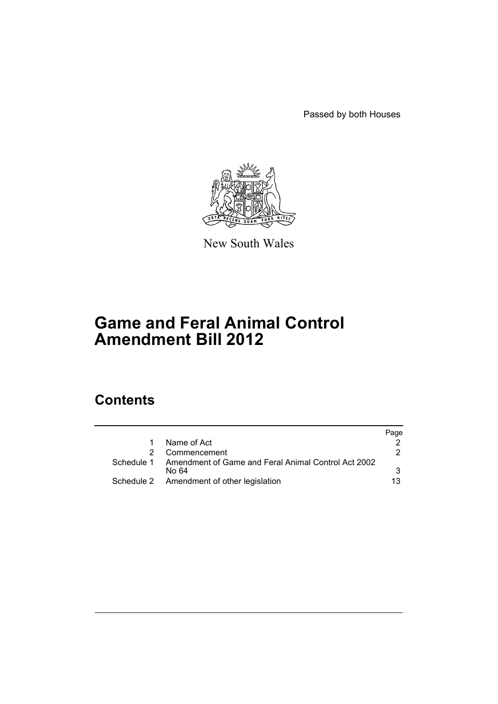Passed by both Houses



New South Wales

# **Game and Feral Animal Control Amendment Bill 2012**

# **Contents**

|            |                                                              | Page |
|------------|--------------------------------------------------------------|------|
|            | Name of Act                                                  |      |
|            | Commencement                                                 | 2.   |
| Schedule 1 | Amendment of Game and Feral Animal Control Act 2002<br>No 64 | 3    |
|            | Schedule 2 Amendment of other legislation                    | 13   |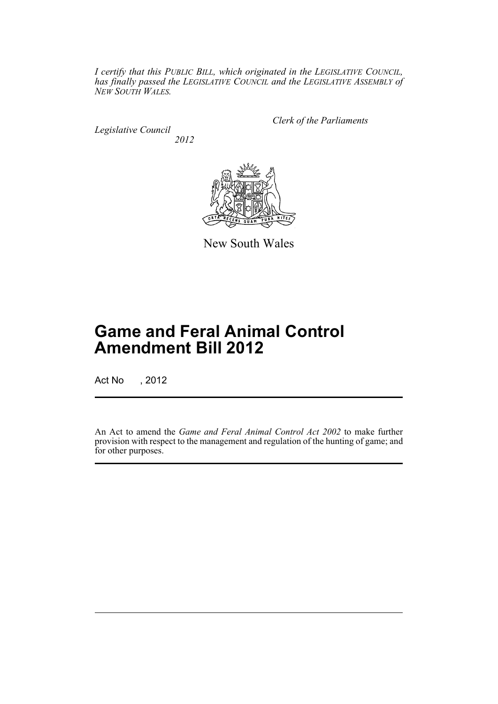*I certify that this PUBLIC BILL, which originated in the LEGISLATIVE COUNCIL, has finally passed the LEGISLATIVE COUNCIL and the LEGISLATIVE ASSEMBLY of NEW SOUTH WALES.*

*Legislative Council 2012* *Clerk of the Parliaments*



New South Wales

# **Game and Feral Animal Control Amendment Bill 2012**

Act No , 2012

An Act to amend the *Game and Feral Animal Control Act 2002* to make further provision with respect to the management and regulation of the hunting of game; and for other purposes.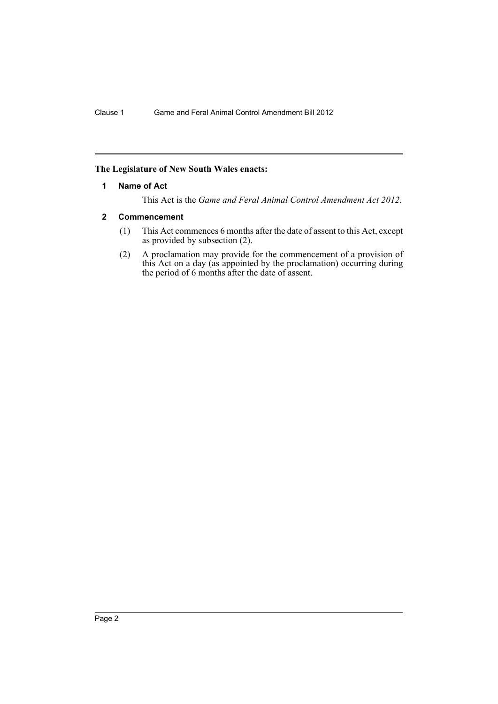# <span id="page-3-0"></span>**The Legislature of New South Wales enacts:**

#### **1 Name of Act**

This Act is the *Game and Feral Animal Control Amendment Act 2012*.

#### <span id="page-3-1"></span>**2 Commencement**

- (1) This Act commences 6 months after the date of assent to this Act, except as provided by subsection (2).
- (2) A proclamation may provide for the commencement of a provision of this Act on a day (as appointed by the proclamation) occurring during the period of 6 months after the date of assent.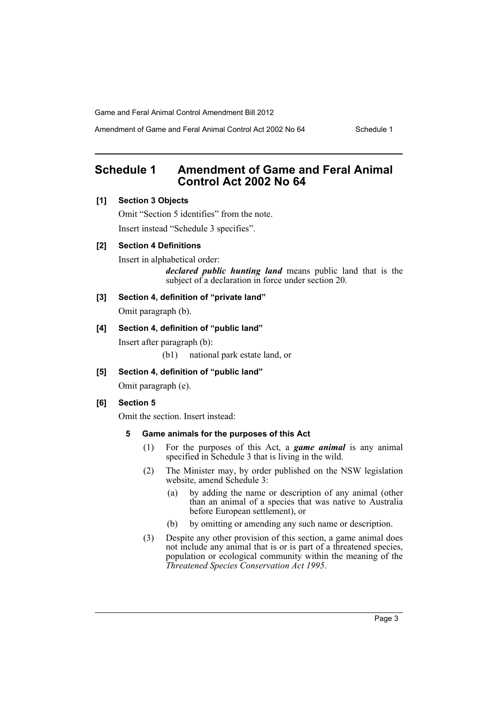Amendment of Game and Feral Animal Control Act 2002 No 64 Schedule 1

# <span id="page-4-0"></span>**Schedule 1 Amendment of Game and Feral Animal Control Act 2002 No 64**

# **[1] Section 3 Objects**

Omit "Section 5 identifies" from the note. Insert instead "Schedule 3 specifies".

# **[2] Section 4 Definitions**

Insert in alphabetical order:

*declared public hunting land* means public land that is the subject of a declaration in force under section 20.

**[3] Section 4, definition of "private land"**

Omit paragraph (b).

#### **[4] Section 4, definition of "public land"**

Insert after paragraph (b):

(b1) national park estate land, or

**[5] Section 4, definition of "public land"**

Omit paragraph (e).

# **[6] Section 5**

Omit the section. Insert instead:

# **5 Game animals for the purposes of this Act**

- (1) For the purposes of this Act, a *game animal* is any animal specified in Schedule 3 that is living in the wild.
- (2) The Minister may, by order published on the NSW legislation website, amend Schedule 3:
	- (a) by adding the name or description of any animal (other than an animal of a species that was native to Australia before European settlement), or
	- (b) by omitting or amending any such name or description.
- (3) Despite any other provision of this section, a game animal does not include any animal that is or is part of a threatened species, population or ecological community within the meaning of the *Threatened Species Conservation Act 1995*.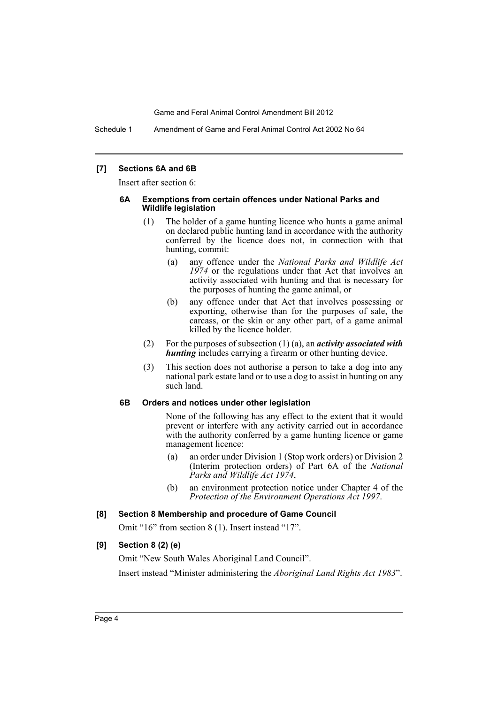Schedule 1 Amendment of Game and Feral Animal Control Act 2002 No 64

#### **[7] Sections 6A and 6B**

Insert after section 6:

#### **6A Exemptions from certain offences under National Parks and Wildlife legislation**

- (1) The holder of a game hunting licence who hunts a game animal on declared public hunting land in accordance with the authority conferred by the licence does not, in connection with that hunting, commit:
	- (a) any offence under the *National Parks and Wildlife Act 1974* or the regulations under that Act that involves an activity associated with hunting and that is necessary for the purposes of hunting the game animal, or
	- (b) any offence under that Act that involves possessing or exporting, otherwise than for the purposes of sale, the carcass, or the skin or any other part, of a game animal killed by the licence holder.
- (2) For the purposes of subsection (1) (a), an *activity associated with hunting* includes carrying a firearm or other hunting device.
- (3) This section does not authorise a person to take a dog into any national park estate land or to use a dog to assist in hunting on any such land.

#### **6B Orders and notices under other legislation**

None of the following has any effect to the extent that it would prevent or interfere with any activity carried out in accordance with the authority conferred by a game hunting licence or game management licence:

- (a) an order under Division 1 (Stop work orders) or Division 2 (Interim protection orders) of Part 6A of the *National Parks and Wildlife Act 1974*,
- (b) an environment protection notice under Chapter 4 of the *Protection of the Environment Operations Act 1997*.

#### **[8] Section 8 Membership and procedure of Game Council**

Omit "16" from section 8 (1). Insert instead "17".

#### **[9] Section 8 (2) (e)**

Omit "New South Wales Aboriginal Land Council". Insert instead "Minister administering the *Aboriginal Land Rights Act 1983*".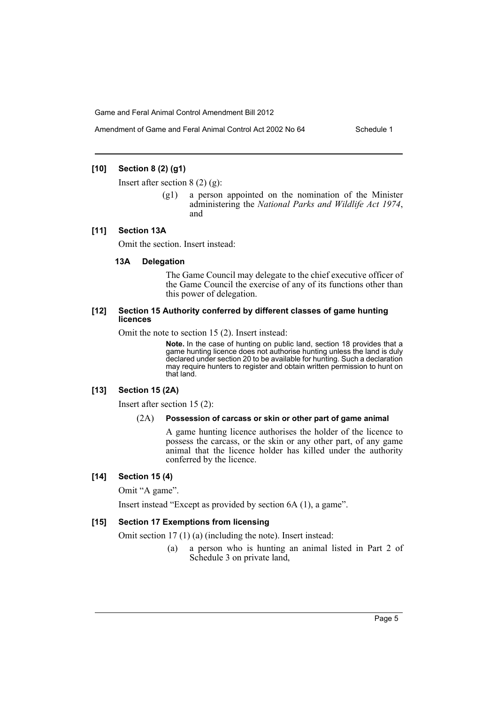# **[10] Section 8 (2) (g1)**

Insert after section  $8(2)(9)$ :

(g1) a person appointed on the nomination of the Minister administering the *National Parks and Wildlife Act 1974*, and

#### **[11] Section 13A**

Omit the section. Insert instead:

#### **13A Delegation**

The Game Council may delegate to the chief executive officer of the Game Council the exercise of any of its functions other than this power of delegation.

#### **[12] Section 15 Authority conferred by different classes of game hunting licences**

Omit the note to section 15 (2). Insert instead:

**Note.** In the case of hunting on public land, section 18 provides that a game hunting licence does not authorise hunting unless the land is duly declared under section 20 to be available for hunting. Such a declaration may require hunters to register and obtain written permission to hunt on that land.

## **[13] Section 15 (2A)**

Insert after section 15 (2):

#### (2A) **Possession of carcass or skin or other part of game animal**

A game hunting licence authorises the holder of the licence to possess the carcass, or the skin or any other part, of any game animal that the licence holder has killed under the authority conferred by the licence.

#### **[14] Section 15 (4)**

Omit "A game".

Insert instead "Except as provided by section 6A (1), a game".

#### **[15] Section 17 Exemptions from licensing**

Omit section 17 (1) (a) (including the note). Insert instead:

(a) a person who is hunting an animal listed in Part 2 of Schedule 3 on private land,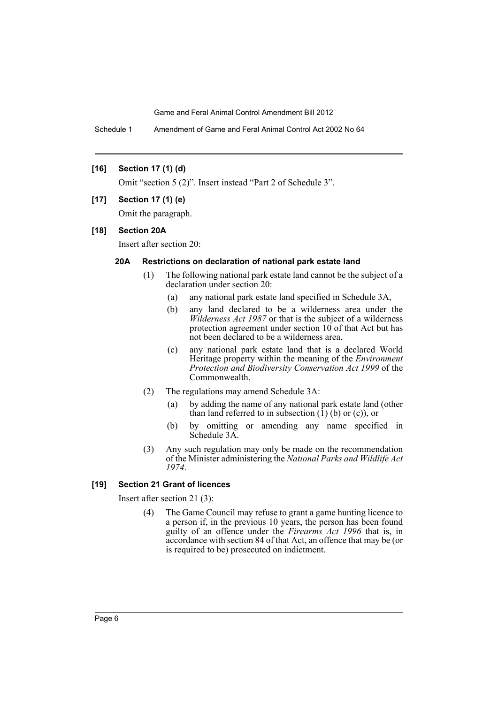Schedule 1 Amendment of Game and Feral Animal Control Act 2002 No 64

## **[16] Section 17 (1) (d)**

Omit "section 5 (2)". Insert instead "Part 2 of Schedule 3".

#### **[17] Section 17 (1) (e)**

Omit the paragraph.

#### **[18] Section 20A**

Insert after section 20:

# **20A Restrictions on declaration of national park estate land**

- (1) The following national park estate land cannot be the subject of a declaration under section 20:
	- (a) any national park estate land specified in Schedule 3A,
	- (b) any land declared to be a wilderness area under the *Wilderness Act 1987* or that is the subject of a wilderness protection agreement under section 10 of that Act but has not been declared to be a wilderness area,
	- (c) any national park estate land that is a declared World Heritage property within the meaning of the *Environment Protection and Biodiversity Conservation Act 1999* of the Commonwealth.
- (2) The regulations may amend Schedule 3A:
	- (a) by adding the name of any national park estate land (other than land referred to in subsection  $(1)$  (b) or  $(c)$ ), or
	- (b) by omitting or amending any name specified in Schedule 3A.
- (3) Any such regulation may only be made on the recommendation of the Minister administering the *National Parks and Wildlife Act 1974*.

# **[19] Section 21 Grant of licences**

Insert after section 21 (3):

(4) The Game Council may refuse to grant a game hunting licence to a person if, in the previous 10 years, the person has been found guilty of an offence under the *Firearms Act 1996* that is, in accordance with section 84 of that Act, an offence that may be (or is required to be) prosecuted on indictment.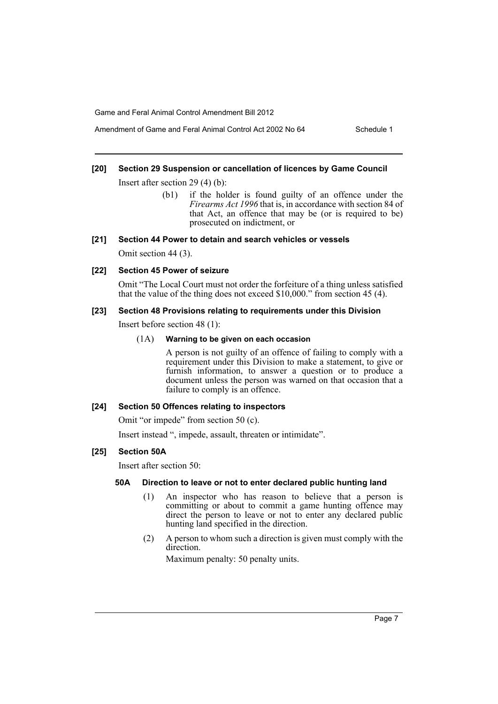# Amendment of Game and Feral Animal Control Act 2002 No 64 Schedule 1

### **[20] Section 29 Suspension or cancellation of licences by Game Council**

Insert after section 29 (4) (b):

(b1) if the holder is found guilty of an offence under the *Firearms Act 1996* that is, in accordance with section 84 of that Act, an offence that may be (or is required to be) prosecuted on indictment, or

#### **[21] Section 44 Power to detain and search vehicles or vessels**

Omit section 44 (3).

#### **[22] Section 45 Power of seizure**

Omit "The Local Court must not order the forfeiture of a thing unless satisfied that the value of the thing does not exceed \$10,000." from section 45 (4).

#### **[23] Section 48 Provisions relating to requirements under this Division**

Insert before section 48 (1):

#### (1A) **Warning to be given on each occasion**

A person is not guilty of an offence of failing to comply with a requirement under this Division to make a statement, to give or furnish information, to answer a question or to produce a document unless the person was warned on that occasion that a failure to comply is an offence.

#### **[24] Section 50 Offences relating to inspectors**

Omit "or impede" from section 50 (c).

Insert instead ", impede, assault, threaten or intimidate".

#### **[25] Section 50A**

Insert after section 50:

### **50A Direction to leave or not to enter declared public hunting land**

- (1) An inspector who has reason to believe that a person is committing or about to commit a game hunting offence may direct the person to leave or not to enter any declared public hunting land specified in the direction.
- (2) A person to whom such a direction is given must comply with the direction.

Maximum penalty: 50 penalty units.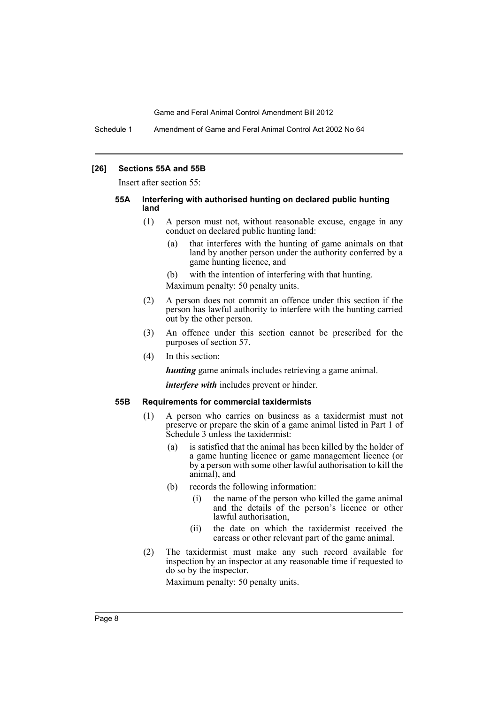Schedule 1 Amendment of Game and Feral Animal Control Act 2002 No 64

#### **[26] Sections 55A and 55B**

Insert after section 55:

#### **55A Interfering with authorised hunting on declared public hunting land**

- (1) A person must not, without reasonable excuse, engage in any conduct on declared public hunting land:
	- (a) that interferes with the hunting of game animals on that land by another person under the authority conferred by a game hunting licence, and
	- (b) with the intention of interfering with that hunting. Maximum penalty: 50 penalty units.
- (2) A person does not commit an offence under this section if the person has lawful authority to interfere with the hunting carried out by the other person.
- (3) An offence under this section cannot be prescribed for the purposes of section 57.
- (4) In this section:

*hunting* game animals includes retrieving a game animal.

*interfere with* includes prevent or hinder.

#### **55B Requirements for commercial taxidermists**

- (1) A person who carries on business as a taxidermist must not preserve or prepare the skin of a game animal listed in Part 1 of Schedule 3 unless the taxidermist:
	- (a) is satisfied that the animal has been killed by the holder of a game hunting licence or game management licence (or by a person with some other lawful authorisation to kill the animal), and
	- (b) records the following information:
		- (i) the name of the person who killed the game animal and the details of the person's licence or other lawful authorisation,
		- (ii) the date on which the taxidermist received the carcass or other relevant part of the game animal.
- (2) The taxidermist must make any such record available for inspection by an inspector at any reasonable time if requested to do so by the inspector.

Maximum penalty: 50 penalty units.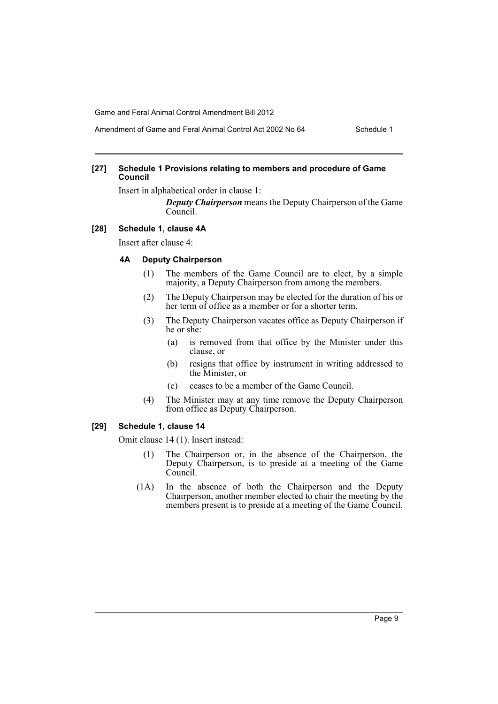# Amendment of Game and Feral Animal Control Act 2002 No 64 Schedule 1

#### **[27] Schedule 1 Provisions relating to members and procedure of Game Council**

Insert in alphabetical order in clause 1:

*Deputy Chairperson* means the Deputy Chairperson of the Game Council.

#### **[28] Schedule 1, clause 4A**

Insert after clause 4:

### **4A Deputy Chairperson**

- (1) The members of the Game Council are to elect, by a simple majority, a Deputy Chairperson from among the members.
- (2) The Deputy Chairperson may be elected for the duration of his or her term of office as a member or for a shorter term.
- (3) The Deputy Chairperson vacates office as Deputy Chairperson if he or she:
	- (a) is removed from that office by the Minister under this clause, or
	- (b) resigns that office by instrument in writing addressed to the Minister, or
	- (c) ceases to be a member of the Game Council.
- (4) The Minister may at any time remove the Deputy Chairperson from office as Deputy Chairperson.

# **[29] Schedule 1, clause 14**

Omit clause 14 (1). Insert instead:

- (1) The Chairperson or, in the absence of the Chairperson, the Deputy Chairperson, is to preside at a meeting of the Game Council.
- (1A) In the absence of both the Chairperson and the Deputy Chairperson, another member elected to chair the meeting by the members present is to preside at a meeting of the Game Council.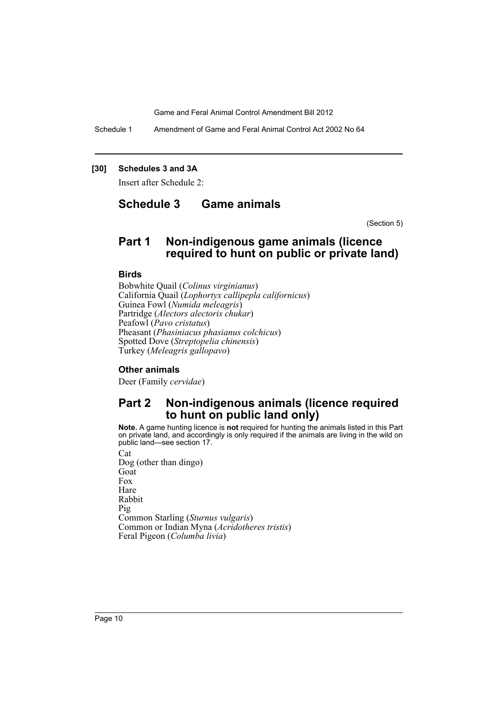Schedule 1 Amendment of Game and Feral Animal Control Act 2002 No 64

## **[30] Schedules 3 and 3A**

Insert after Schedule 2:

# **Schedule 3 Game animals**

(Section 5)

# **Part 1 Non-indigenous game animals (licence required to hunt on public or private land)**

#### **Birds**

Bobwhite Quail (*Colinus virginianus*) California Quail (*Lophortyx callipepla californicus*) Guinea Fowl (*Numida meleagris*) Partridge (*Alectors alectoris chukar*) Peafowl (*Pavo cristatus*) Pheasant (*Phasiniacus phasianus colchicus*) Spotted Dove (*Streptopelia chinensis*) Turkey (*Meleagris gallopavo*)

# **Other animals**

Deer (Family *cervidae*)

# **Part 2 Non-indigenous animals (licence required to hunt on public land only)**

**Note.** A game hunting licence is **not** required for hunting the animals listed in this Part on private land, and accordingly is only required if the animals are living in the wild on public land—see section 17.

Cat Dog (other than dingo) Goat Fox Hare Rabbit Pig Common Starling (*Sturnus vulgaris*) Common or Indian Myna (*Acridotheres tristis*) Feral Pigeon (*Columba livia*)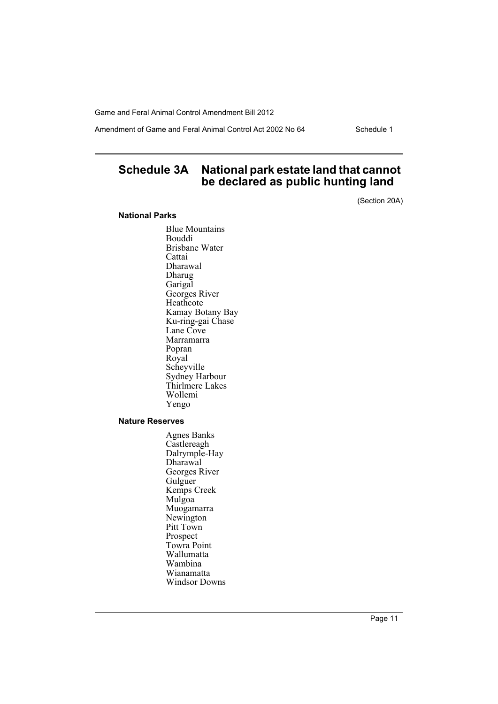Amendment of Game and Feral Animal Control Act 2002 No 64 Schedule 1

# **Schedule 3A National park estate land that cannot be declared as public hunting land**

(Section 20A)

### **National Parks**

Blue Mountains Bouddi Brisbane Water **Cattai** Dharawal Dharug Garigal Georges River Heathcote Kamay Botany Bay Ku-ring-gai Chase Lane Cove Marramarra Popran Royal Scheyville Sydney Harbour Thirlmere Lakes Wollemi Yengo

#### **Nature Reserves**

Agnes Banks **Castlereagh** Dalrymple-Hay Dharawal Georges River **Gulguer** Kemps Creek Mulgoa Muogamarra Newington Pitt Town Prospect Towra Point Wallumatta Wambina Wianamatta Windsor Downs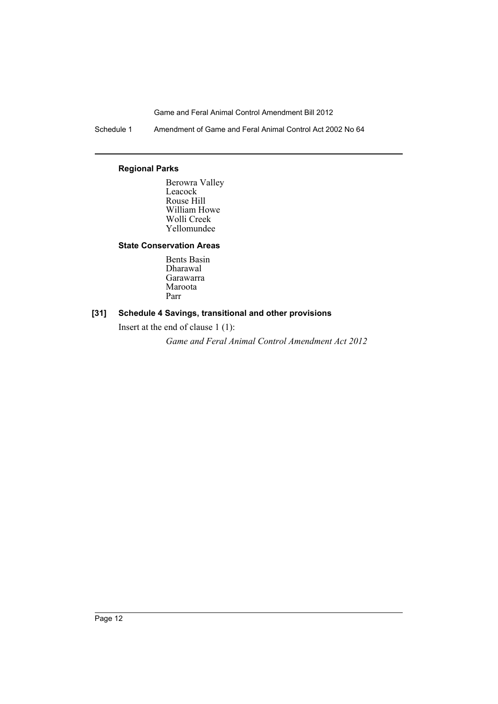Schedule 1 Amendment of Game and Feral Animal Control Act 2002 No 64

# **Regional Parks**

Berowra Valley Leacock Rouse Hill William Howe Wolli Creek Yellomundee

# **State Conservation Areas**

Bents Basin Dharawal Garawarra Maroota Parr

# **[31] Schedule 4 Savings, transitional and other provisions**

Insert at the end of clause 1 (1):

*Game and Feral Animal Control Amendment Act 2012*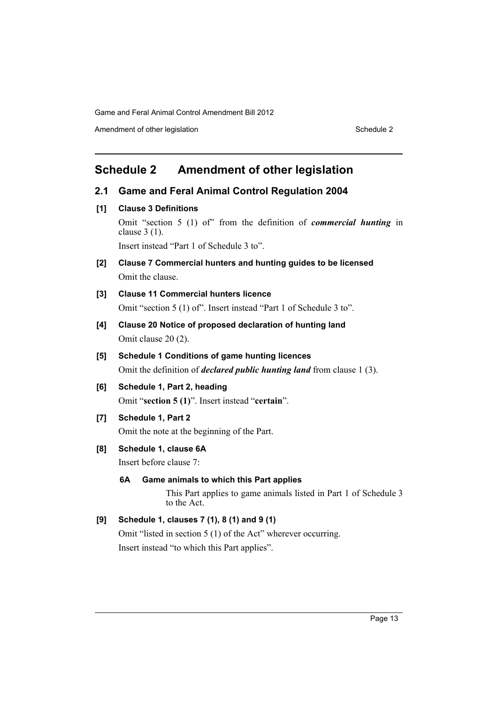Amendment of other legislation Schedule 2

# <span id="page-14-0"></span>**Schedule 2 Amendment of other legislation**

# **2.1 Game and Feral Animal Control Regulation 2004**

**[1] Clause 3 Definitions**

Omit "section 5 (1) of" from the definition of *commercial hunting* in clause 3 (1). Insert instead "Part 1 of Schedule 3 to".

- **[2] Clause 7 Commercial hunters and hunting guides to be licensed** Omit the clause.
- **[3] Clause 11 Commercial hunters licence** Omit "section 5 (1) of". Insert instead "Part 1 of Schedule 3 to".
- **[4] Clause 20 Notice of proposed declaration of hunting land** Omit clause 20 (2).
- **[5] Schedule 1 Conditions of game hunting licences** Omit the definition of *declared public hunting land* from clause 1 (3).
- **[6] Schedule 1, Part 2, heading** Omit "**section 5 (1)**". Insert instead "**certain**".
- **[7] Schedule 1, Part 2**

Omit the note at the beginning of the Part.

**[8] Schedule 1, clause 6A**

Insert before clause 7:

**6A Game animals to which this Part applies**

This Part applies to game animals listed in Part 1 of Schedule 3 to the Act.

# **[9] Schedule 1, clauses 7 (1), 8 (1) and 9 (1)**

Omit "listed in section 5 (1) of the Act" wherever occurring. Insert instead "to which this Part applies".